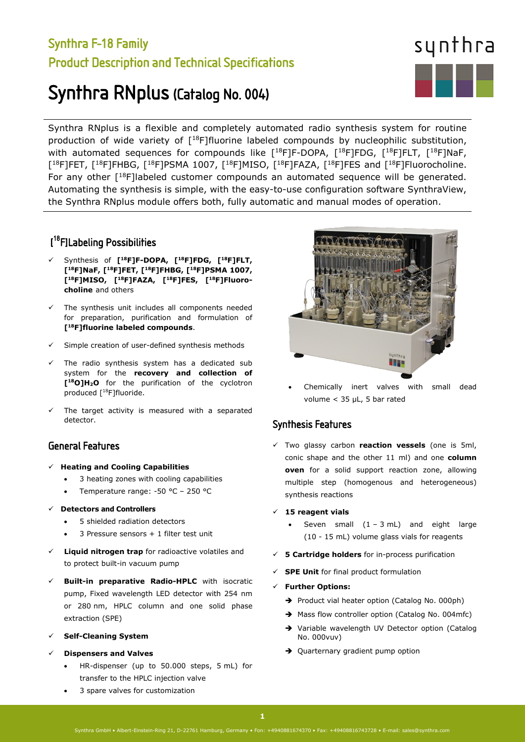# Synthra F-18 Family Product Description and Technical Specifications

# Synthra RNplus (Catalog No. 004)

Synthra RNplus is a flexible and completely automated radio synthesis system for routine production of wide variety of [<sup>18</sup>F]fluorine labeled compounds by nucleophilic substitution, with automated sequences for compounds like  $[$ <sup>18</sup>F]F-DOPA,  $[$ <sup>18</sup>F]FDG,  $[$ <sup>18</sup>F]FLT,  $[$ <sup>18</sup>F]NaF, [<sup>18</sup>F]FET, [<sup>18</sup>F]FHBG, [<sup>18</sup>F]PSMA 1007, [<sup>18</sup>F]MISO, [<sup>18</sup>F]FAZA, [<sup>18</sup>F]FES and [<sup>18</sup>F]Fluorocholine. For any other  $[18F]$ labeled customer compounds an automated sequence will be generated. Automating the synthesis is simple, with the easy-to-use configuration software SynthraView, the Synthra RNplus module offers both, fully automatic and manual modes of operation.

# [ 18F]Labeling Possibilities

- Synthesis of **[18F]F-DOPA, [18F]FDG, [18F]FLT, [18F]NaF, [18F]FET, [18F]FHBG, [18F]PSMA 1007, [18F]MISO, [18F]FAZA, [18F]FES, [18F]Fluorocholine** and others
- $\checkmark$  The synthesis unit includes all components needed for preparation, purification and formulation of **[18F]fluorine labeled compounds**.
- Simple creation of user-defined synthesis methods
- The radio synthesis system has a dedicated sub system for the **recovery and collection of [18O]H2O** for the purification of the cyclotron produced [18F]fluoride.
- The target activity is measured with a separated detector.

## General Features

#### **Heating and Cooling Capabilities**

- 3 heating zones with cooling capabilities
- Temperature range: -50 °C 250 °C

#### **Detectors and Controllers**

- 5 shielded radiation detectors
- 3 Pressure sensors + 1 filter test unit
- **Liquid nitrogen trap** for radioactive volatiles and to protect built-in vacuum pump
- **Built-in preparative Radio-HPLC** with isocratic pump, Fixed wavelength LED detector with 254 nm or 280 nm, HPLC column and one solid phase extraction (SPE)
- **Self-Cleaning System**
- **Dispensers and Valves**
	- HR-dispenser (up to 50.000 steps, 5 mL) for transfer to the HPLC injection valve
	- 3 spare valves for customization



• Chemically inert valves with small dead volume < 35 µL, 5 bar rated

## Synthesis Features

 Two glassy carbon **reaction vessels** (one is 5ml, conic shape and the other 11 ml) and one **column oven** for a solid support reaction zone, allowing multiple step (homogenous and heterogeneous) synthesis reactions

#### **15 reagent vials**

- Seven small  $(1 3 mL)$  and eight large (10 - 15 mL) volume glass vials for reagents
- **5 Cartridge holders** for in-process purification
- **SPE Unit** for final product formulation

#### **Further Options:**

- Product vial heater option (Catalog No. 000ph)
- $\rightarrow$  Mass flow controller option (Catalog No. 004mfc)
- → Variable wavelength UV Detector option (Catalog No. 000vuv)
- → Quarternary gradient pump option

#### Synthra GmbH • Albert-Einstein-Ring 21, D-22761 Hamburg, Germany • Fon: +4940881674370 • Fax: +49408816743728 • E-mail: sales@synthra.com